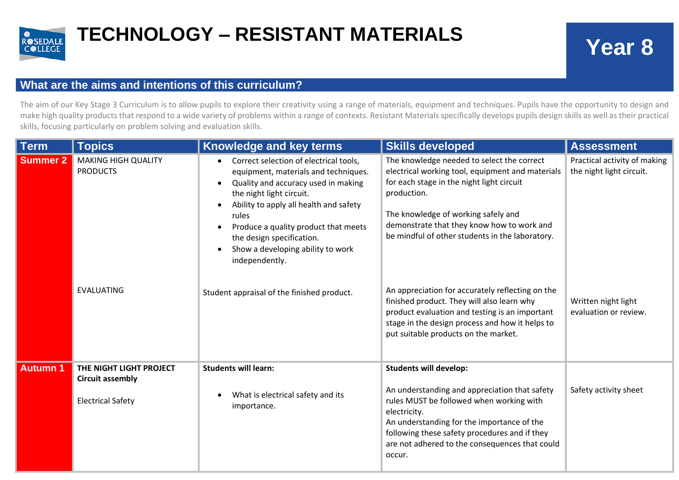

## **TECHNOLOGY – RESISTANT MATERIALS Year 8**

## **What are the aims and intentions of this curriculum?**

The aim of our Key Stage 3 Curriculum is to allow pupils to explore their creativity using a range of materials, equipment and techniques. Pupils have the opportunity to design and make high quality products that respond to a wide variety of problems within a range of contexts. Resistant Materials specifically develops pupils design skills as well as their practical skills, focusing particularly on problem solving and evaluation skills.

| <b>Term</b>     | <b>Topics</b>                                                      | Knowledge and key terms                                                                                                                                                                                                                                                                                                                                                                                  | <b>Skills developed</b>                                                                                                                                                                                                                                                                                                                                                                                                                                                                                                                           | <b>Assessment</b>                                                                                        |
|-----------------|--------------------------------------------------------------------|----------------------------------------------------------------------------------------------------------------------------------------------------------------------------------------------------------------------------------------------------------------------------------------------------------------------------------------------------------------------------------------------------------|---------------------------------------------------------------------------------------------------------------------------------------------------------------------------------------------------------------------------------------------------------------------------------------------------------------------------------------------------------------------------------------------------------------------------------------------------------------------------------------------------------------------------------------------------|----------------------------------------------------------------------------------------------------------|
| <b>Summer 2</b> | <b>MAKING HIGH QUALITY</b><br><b>PRODUCTS</b><br><b>EVALUATING</b> | Correct selection of electrical tools,<br>$\bullet$<br>equipment, materials and techniques.<br>Quality and accuracy used in making<br>$\bullet$<br>the night light circuit.<br>Ability to apply all health and safety<br>rules<br>Produce a quality product that meets<br>the design specification.<br>Show a developing ability to work<br>independently.<br>Student appraisal of the finished product. | The knowledge needed to select the correct<br>electrical working tool, equipment and materials<br>for each stage in the night light circuit<br>production.<br>The knowledge of working safely and<br>demonstrate that they know how to work and<br>be mindful of other students in the laboratory.<br>An appreciation for accurately reflecting on the<br>finished product. They will also learn why<br>product evaluation and testing is an important<br>stage in the design process and how it helps to<br>put suitable products on the market. | Practical activity of making<br>the night light circuit.<br>Written night light<br>evaluation or review. |
| <b>Autumn 1</b> | THE NIGHT LIGHT PROJECT<br><b>Circuit assembly</b>                 | <b>Students will learn:</b>                                                                                                                                                                                                                                                                                                                                                                              | <b>Students will develop:</b>                                                                                                                                                                                                                                                                                                                                                                                                                                                                                                                     |                                                                                                          |
|                 | <b>Electrical Safety</b>                                           | What is electrical safety and its<br>importance.                                                                                                                                                                                                                                                                                                                                                         | An understanding and appreciation that safety<br>rules MUST be followed when working with<br>electricity.<br>An understanding for the importance of the<br>following these safety procedures and if they<br>are not adhered to the consequences that could<br>occur.                                                                                                                                                                                                                                                                              | Safety activity sheet                                                                                    |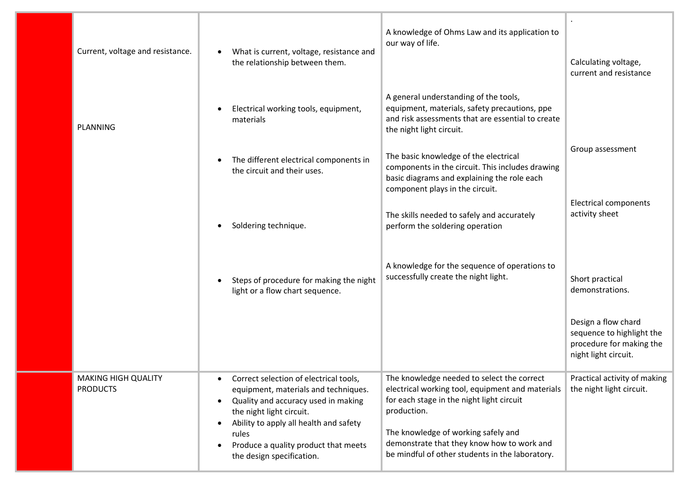| Current, voltage and resistance. | What is current, voltage, resistance and<br>the relationship between them.                                                                                                                                                                                                             | A knowledge of Ohms Law and its application to<br>our way of life.                                                                                                                                                                                                                                 | Calculating voltage,<br>current and resistance                                                       |
|----------------------------------|----------------------------------------------------------------------------------------------------------------------------------------------------------------------------------------------------------------------------------------------------------------------------------------|----------------------------------------------------------------------------------------------------------------------------------------------------------------------------------------------------------------------------------------------------------------------------------------------------|------------------------------------------------------------------------------------------------------|
|                                  | Electrical working tools, equipment,<br>materials                                                                                                                                                                                                                                      | A general understanding of the tools,<br>equipment, materials, safety precautions, ppe<br>and risk assessments that are essential to create<br>the night light circuit.                                                                                                                            |                                                                                                      |
|                                  | The different electrical components in<br>the circuit and their uses.                                                                                                                                                                                                                  | The basic knowledge of the electrical<br>components in the circuit. This includes drawing<br>basic diagrams and explaining the role each<br>component plays in the circuit.                                                                                                                        | Group assessment                                                                                     |
|                                  | Soldering technique.                                                                                                                                                                                                                                                                   | The skills needed to safely and accurately<br>perform the soldering operation                                                                                                                                                                                                                      | <b>Electrical components</b><br>activity sheet                                                       |
|                                  | Steps of procedure for making the night<br>light or a flow chart sequence.                                                                                                                                                                                                             | A knowledge for the sequence of operations to<br>successfully create the night light.                                                                                                                                                                                                              | Short practical<br>demonstrations.                                                                   |
|                                  |                                                                                                                                                                                                                                                                                        |                                                                                                                                                                                                                                                                                                    | Design a flow chard<br>sequence to highlight the<br>procedure for making the<br>night light circuit. |
| <b>MAKING HIGH QUALITY</b>       | Correct selection of electrical tools,<br>$\bullet$<br>equipment, materials and techniques.<br>Quality and accuracy used in making<br>the night light circuit.<br>Ability to apply all health and safety<br>rules<br>Produce a quality product that meets<br>the design specification. | The knowledge needed to select the correct<br>electrical working tool, equipment and materials<br>for each stage in the night light circuit<br>production.<br>The knowledge of working safely and<br>demonstrate that they know how to work and<br>be mindful of other students in the laboratory. | Practical activity of making<br>the night light circuit.                                             |
|                                  |                                                                                                                                                                                                                                                                                        |                                                                                                                                                                                                                                                                                                    |                                                                                                      |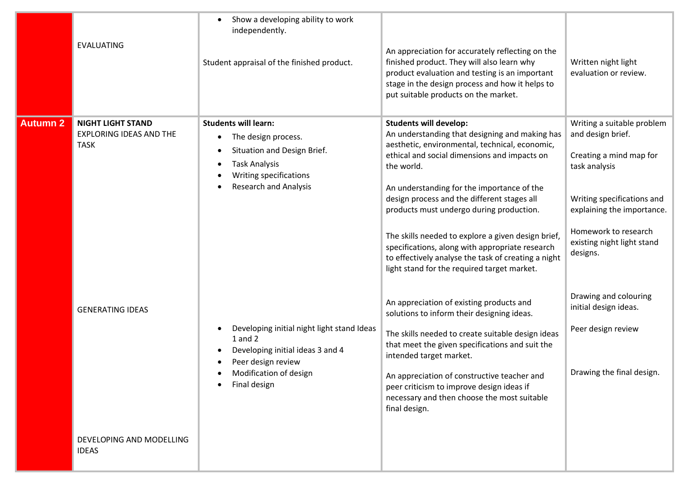|          | <b>EVALUATING</b>                                                                                                                                | Show a developing ability to work<br>independently.<br>Student appraisal of the finished product.                                                                                                                                                                                                                                    | An appreciation for accurately reflecting on the<br>finished product. They will also learn why<br>product evaluation and testing is an important<br>stage in the design process and how it helps to<br>put suitable products on the market.                                                                                                                                                                                                                                                                                                                                                                                                                                                                                                                                                                                                                                                                                                      | Written night light<br>evaluation or review.                                                                                                                                                                                                                                                                                   |
|----------|--------------------------------------------------------------------------------------------------------------------------------------------------|--------------------------------------------------------------------------------------------------------------------------------------------------------------------------------------------------------------------------------------------------------------------------------------------------------------------------------------|--------------------------------------------------------------------------------------------------------------------------------------------------------------------------------------------------------------------------------------------------------------------------------------------------------------------------------------------------------------------------------------------------------------------------------------------------------------------------------------------------------------------------------------------------------------------------------------------------------------------------------------------------------------------------------------------------------------------------------------------------------------------------------------------------------------------------------------------------------------------------------------------------------------------------------------------------|--------------------------------------------------------------------------------------------------------------------------------------------------------------------------------------------------------------------------------------------------------------------------------------------------------------------------------|
| Autumn 2 | <b>NIGHT LIGHT STAND</b><br><b>EXPLORING IDEAS AND THE</b><br><b>TASK</b><br><b>GENERATING IDEAS</b><br>DEVELOPING AND MODELLING<br><b>IDEAS</b> | <b>Students will learn:</b><br>The design process.<br>Situation and Design Brief.<br><b>Task Analysis</b><br>Writing specifications<br><b>Research and Analysis</b><br>Developing initial night light stand Ideas<br>$1$ and $2$<br>Developing initial ideas 3 and 4<br>Peer design review<br>Modification of design<br>Final design | <b>Students will develop:</b><br>An understanding that designing and making has<br>aesthetic, environmental, technical, economic,<br>ethical and social dimensions and impacts on<br>the world.<br>An understanding for the importance of the<br>design process and the different stages all<br>products must undergo during production.<br>The skills needed to explore a given design brief,<br>specifications, along with appropriate research<br>to effectively analyse the task of creating a night<br>light stand for the required target market.<br>An appreciation of existing products and<br>solutions to inform their designing ideas.<br>The skills needed to create suitable design ideas<br>that meet the given specifications and suit the<br>intended target market.<br>An appreciation of constructive teacher and<br>peer criticism to improve design ideas if<br>necessary and then choose the most suitable<br>final design. | Writing a suitable problem<br>and design brief.<br>Creating a mind map for<br>task analysis<br>Writing specifications and<br>explaining the importance.<br>Homework to research<br>existing night light stand<br>designs.<br>Drawing and colouring<br>initial design ideas.<br>Peer design review<br>Drawing the final design. |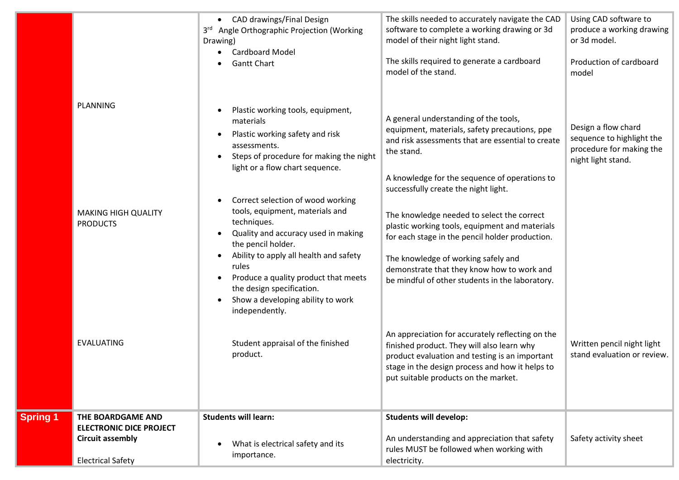|                 | <b>PLANNING</b><br><b>MAKING HIGH QUALITY</b><br><b>PRODUCTS</b>                                           | • CAD drawings/Final Design<br>3rd Angle Orthographic Projection (Working<br>Drawing)<br><b>Cardboard Model</b><br><b>Gantt Chart</b><br>Plastic working tools, equipment,<br>materials<br>Plastic working safety and risk<br>assessments.<br>Steps of procedure for making the night<br>light or a flow chart sequence.<br>Correct selection of wood working<br>tools, equipment, materials and<br>techniques. | The skills needed to accurately navigate the CAD<br>software to complete a working drawing or 3d<br>model of their night light stand.<br>The skills required to generate a cardboard<br>model of the stand.<br>A general understanding of the tools,<br>equipment, materials, safety precautions, ppe<br>and risk assessments that are essential to create<br>the stand.<br>A knowledge for the sequence of operations to<br>successfully create the night light.<br>The knowledge needed to select the correct<br>plastic working tools, equipment and materials | Using CAD software to<br>produce a working drawing<br>or 3d model.<br>Production of cardboard<br>model<br>Design a flow chard<br>sequence to highlight the<br>procedure for making the<br>night light stand. |
|-----------------|------------------------------------------------------------------------------------------------------------|-----------------------------------------------------------------------------------------------------------------------------------------------------------------------------------------------------------------------------------------------------------------------------------------------------------------------------------------------------------------------------------------------------------------|-------------------------------------------------------------------------------------------------------------------------------------------------------------------------------------------------------------------------------------------------------------------------------------------------------------------------------------------------------------------------------------------------------------------------------------------------------------------------------------------------------------------------------------------------------------------|--------------------------------------------------------------------------------------------------------------------------------------------------------------------------------------------------------------|
|                 | <b>EVALUATING</b>                                                                                          | Quality and accuracy used in making<br>the pencil holder.<br>Ability to apply all health and safety<br>$\bullet$<br>rules<br>Produce a quality product that meets<br>the design specification.<br>Show a developing ability to work<br>independently.<br>Student appraisal of the finished<br>product.                                                                                                          | for each stage in the pencil holder production.<br>The knowledge of working safely and<br>demonstrate that they know how to work and<br>be mindful of other students in the laboratory.<br>An appreciation for accurately reflecting on the<br>finished product. They will also learn why<br>product evaluation and testing is an important<br>stage in the design process and how it helps to<br>put suitable products on the market.                                                                                                                            | Written pencil night light<br>stand evaluation or review.                                                                                                                                                    |
| <b>Spring 1</b> | THE BOARDGAME AND<br><b>ELECTRONIC DICE PROJECT</b><br><b>Circuit assembly</b><br><b>Electrical Safety</b> | <b>Students will learn:</b><br>What is electrical safety and its<br>importance.                                                                                                                                                                                                                                                                                                                                 | <b>Students will develop:</b><br>An understanding and appreciation that safety<br>rules MUST be followed when working with<br>electricity.                                                                                                                                                                                                                                                                                                                                                                                                                        | Safety activity sheet                                                                                                                                                                                        |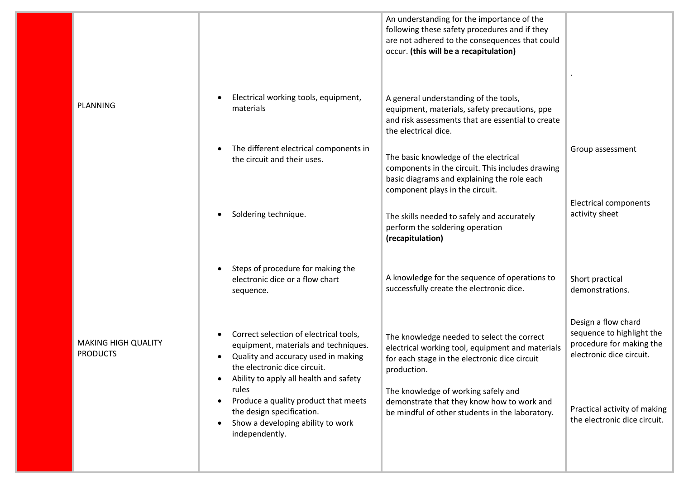|                                               |                                                                                                                                                                                                              | An understanding for the importance of the<br>following these safety procedures and if they<br>are not adhered to the consequences that could<br>occur. (this will be a recapitulation) |                                                                                                          |
|-----------------------------------------------|--------------------------------------------------------------------------------------------------------------------------------------------------------------------------------------------------------------|-----------------------------------------------------------------------------------------------------------------------------------------------------------------------------------------|----------------------------------------------------------------------------------------------------------|
| PLANNING                                      | Electrical working tools, equipment,<br>$\bullet$<br>materials                                                                                                                                               | A general understanding of the tools,<br>equipment, materials, safety precautions, ppe<br>and risk assessments that are essential to create<br>the electrical dice.                     |                                                                                                          |
|                                               | The different electrical components in<br>the circuit and their uses.                                                                                                                                        | The basic knowledge of the electrical<br>components in the circuit. This includes drawing<br>basic diagrams and explaining the role each<br>component plays in the circuit.             | Group assessment                                                                                         |
|                                               | Soldering technique.                                                                                                                                                                                         | The skills needed to safely and accurately<br>perform the soldering operation<br>(recapitulation)                                                                                       | <b>Electrical components</b><br>activity sheet                                                           |
|                                               | Steps of procedure for making the<br>electronic dice or a flow chart<br>sequence.                                                                                                                            | A knowledge for the sequence of operations to<br>successfully create the electronic dice.                                                                                               | Short practical<br>demonstrations.                                                                       |
| <b>MAKING HIGH QUALITY</b><br><b>PRODUCTS</b> | Correct selection of electrical tools,<br>equipment, materials and techniques.<br>Quality and accuracy used in making<br>the electronic dice circuit.<br>Ability to apply all health and safety<br>$\bullet$ | The knowledge needed to select the correct<br>electrical working tool, equipment and materials<br>for each stage in the electronic dice circuit<br>production.                          | Design a flow chard<br>sequence to highlight the<br>procedure for making the<br>electronic dice circuit. |
|                                               | rules<br>Produce a quality product that meets<br>the design specification.<br>Show a developing ability to work<br>independently.                                                                            | The knowledge of working safely and<br>demonstrate that they know how to work and<br>be mindful of other students in the laboratory.                                                    | Practical activity of making<br>the electronic dice circuit.                                             |
|                                               |                                                                                                                                                                                                              |                                                                                                                                                                                         |                                                                                                          |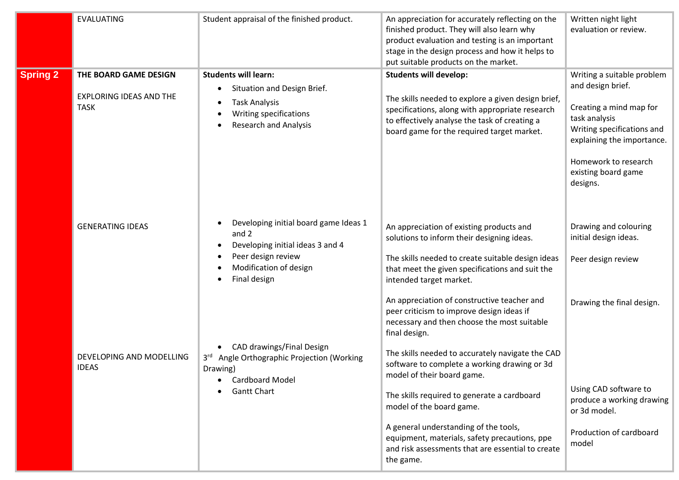|                 | <b>EVALUATING</b>                                                      | Student appraisal of the finished product.                                                                                                              | An appreciation for accurately reflecting on the<br>finished product. They will also learn why<br>product evaluation and testing is an important<br>stage in the design process and how it helps to<br>put suitable products on the market.                                                                                                                                                                                                                                                                                       | Written night light<br>evaluation or review.                                                                                                                                                                       |
|-----------------|------------------------------------------------------------------------|---------------------------------------------------------------------------------------------------------------------------------------------------------|-----------------------------------------------------------------------------------------------------------------------------------------------------------------------------------------------------------------------------------------------------------------------------------------------------------------------------------------------------------------------------------------------------------------------------------------------------------------------------------------------------------------------------------|--------------------------------------------------------------------------------------------------------------------------------------------------------------------------------------------------------------------|
| <b>Spring 2</b> | THE BOARD GAME DESIGN<br><b>EXPLORING IDEAS AND THE</b><br><b>TASK</b> | <b>Students will learn:</b><br>Situation and Design Brief.<br><b>Task Analysis</b><br>٠<br>Writing specifications<br><b>Research and Analysis</b>       | <b>Students will develop:</b><br>The skills needed to explore a given design brief,<br>specifications, along with appropriate research<br>to effectively analyse the task of creating a<br>board game for the required target market.                                                                                                                                                                                                                                                                                             | Writing a suitable problem<br>and design brief.<br>Creating a mind map for<br>task analysis<br>Writing specifications and<br>explaining the importance.<br>Homework to research<br>existing board game<br>designs. |
|                 | <b>GENERATING IDEAS</b>                                                | Developing initial board game Ideas 1<br>and 2<br>Developing initial ideas 3 and 4<br>Peer design review<br>٠<br>Modification of design<br>Final design | An appreciation of existing products and<br>solutions to inform their designing ideas.<br>The skills needed to create suitable design ideas<br>that meet the given specifications and suit the<br>intended target market.                                                                                                                                                                                                                                                                                                         | Drawing and colouring<br>initial design ideas.<br>Peer design review                                                                                                                                               |
|                 | DEVELOPING AND MODELLING<br><b>IDEAS</b>                               | CAD drawings/Final Design<br>3rd Angle Orthographic Projection (Working<br>Drawing)<br><b>Cardboard Model</b><br><b>Gantt Chart</b>                     | An appreciation of constructive teacher and<br>peer criticism to improve design ideas if<br>necessary and then choose the most suitable<br>final design.<br>The skills needed to accurately navigate the CAD<br>software to complete a working drawing or 3d<br>model of their board game.<br>The skills required to generate a cardboard<br>model of the board game.<br>A general understanding of the tools,<br>equipment, materials, safety precautions, ppe<br>and risk assessments that are essential to create<br>the game. | Drawing the final design.<br>Using CAD software to<br>produce a working drawing<br>or 3d model.<br>Production of cardboard<br>model                                                                                |
|                 |                                                                        |                                                                                                                                                         |                                                                                                                                                                                                                                                                                                                                                                                                                                                                                                                                   |                                                                                                                                                                                                                    |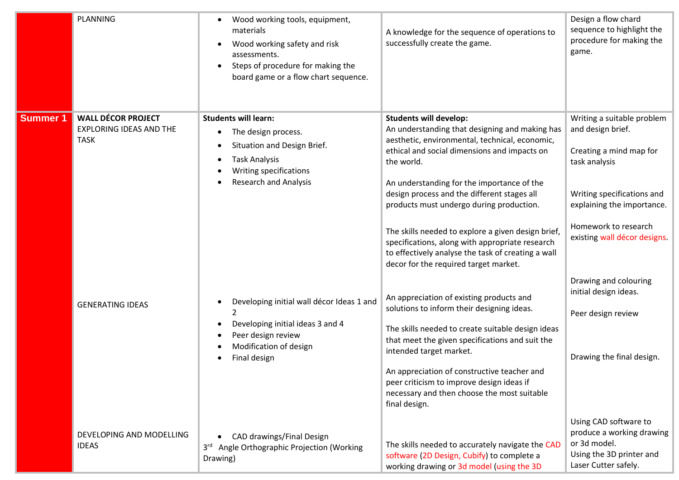|                 | PLANNING                                                                   | Wood working tools, equipment,<br>materials<br>Wood working safety and risk<br>assessments.<br>Steps of procedure for making the<br>$\bullet$<br>board game or a flow chart sequence. | A knowledge for the sequence of operations to<br>successfully create the game.                                                                                                                                                                                                                                                                                                                                                                                                                                                                   | Design a flow chard<br>sequence to highlight the<br>procedure for making the<br>game.                                                                                                                                                                             |
|-----------------|----------------------------------------------------------------------------|---------------------------------------------------------------------------------------------------------------------------------------------------------------------------------------|--------------------------------------------------------------------------------------------------------------------------------------------------------------------------------------------------------------------------------------------------------------------------------------------------------------------------------------------------------------------------------------------------------------------------------------------------------------------------------------------------------------------------------------------------|-------------------------------------------------------------------------------------------------------------------------------------------------------------------------------------------------------------------------------------------------------------------|
| <b>Summer 1</b> | <b>WALL DÉCOR PROJECT</b><br><b>EXPLORING IDEAS AND THE</b><br><b>TASK</b> | <b>Students will learn:</b><br>The design process.<br>Situation and Design Brief.<br><b>Task Analysis</b><br>Writing specifications<br><b>Research and Analysis</b>                   | <b>Students will develop:</b><br>An understanding that designing and making has<br>aesthetic, environmental, technical, economic,<br>ethical and social dimensions and impacts on<br>the world.<br>An understanding for the importance of the<br>design process and the different stages all<br>products must undergo during production.<br>The skills needed to explore a given design brief,<br>specifications, along with appropriate research<br>to effectively analyse the task of creating a wall<br>decor for the required target market. | Writing a suitable problem<br>and design brief.<br>Creating a mind map for<br>task analysis<br>Writing specifications and<br>explaining the importance.<br>Homework to research<br>existing wall décor designs.<br>Drawing and colouring<br>initial design ideas. |
|                 | <b>GENERATING IDEAS</b>                                                    | Developing initial wall décor Ideas 1 and<br>$\mathcal{P}$<br>Developing initial ideas 3 and 4<br>$\bullet$<br>Peer design review<br>Modification of design<br>Final design           | An appreciation of existing products and<br>solutions to inform their designing ideas.<br>The skills needed to create suitable design ideas<br>that meet the given specifications and suit the<br>intended target market.<br>An appreciation of constructive teacher and<br>peer criticism to improve design ideas if<br>necessary and then choose the most suitable<br>final design.                                                                                                                                                            | Peer design review<br>Drawing the final design.                                                                                                                                                                                                                   |
|                 | DEVELOPING AND MODELLING<br><b>IDEAS</b>                                   | CAD drawings/Final Design<br>3rd Angle Orthographic Projection (Working<br>Drawing)                                                                                                   | The skills needed to accurately navigate the CAD<br>software (2D Design, Cubify) to complete a<br>working drawing or 3d model (using the 3D                                                                                                                                                                                                                                                                                                                                                                                                      | Using CAD software to<br>produce a working drawing<br>or 3d model.<br>Using the 3D printer and<br>Laser Cutter safely.                                                                                                                                            |